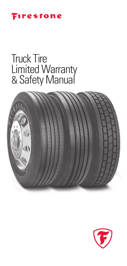

# Truck Tire Limited Warranty & Safety Manual



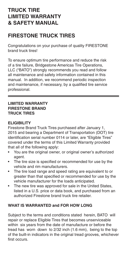# **TRUCK TIRE LIMITED WARRANTY & SAFETY MANUAL**

# **FIRESTONE TRUCK TIRES**

Congratulations on your purchase of quality FIRESTONE brand truck tires!

To ensure optimum tire performance and reduce the risk of a tire failure, Bridgestone Americas Tire Operations, LLC ("BATO") strongly recommends you read and follow all maintenance and safety information contained in this manual. In addition, we recommend periodic inspection and maintenance, if necessary, by a qualified tire service professional.

#### **LIMITED WARRANTY FIRESTONE BRAND TRUCK TIRES**

# **ELIGIBILITY**

Firestone Brand Truck Tires purchased after January 1, 2015 and bearing a Department of Transportation (DOT) tire identification serial number 0114 or later, are "Eligible Tires" covered under the terms of this Limited Warranty provided that all of the following apply:

- You are the original owner, or original owner's authorized agent.
- The tire size is specified or recommended for use by the vehicle and rim manufacturers.
- The tire load range and speed rating are equivalent to or greater than that specified or recommended for use by the vehicle manufacturer for the loads anticipated.
- The new tire was approved for sale in the United States. listed in a U.S. price or data book, and purchased from an authorized Firestone brand truck tire retailer.

# **WHAT IS WARRANTED and FOR HOW LONG**

Subject to the terms and conditions stated herein, BATO will repair or replace Eligible Tires that becomes unserviceable within six years from the date of manufacture or before the tread has worn downto 2/32 inch (1.6 mm), being to the top of the built-in indicators in the original tread grooves, whichever first occurs.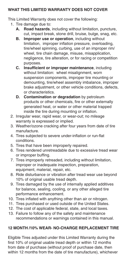# **WHAT THIS LIMITED WARRANTY DOES NOT COVER**

This Limited Warranty does not cover the following:

- 1. Tire damage due to:
	- **A. Road hazards**, including without limitation, puncture, cut, impact break, stone drill, bruise, bulge, snag, etc.
	- **B. Improper use or operation**, including without limitation, improper inflation pressure, overloading, tire/wheel spinning, curbing, use of an improper rim/ wheel, tire chain damage, misuse, misapplication, negligence, tire alteration, or for racing or competition purposes.
	- **C. Insufficient or improper maintenance**, including without limitation: wheel misalignment, worn suspension components, improper tire mounting or demounting, tire/wheel assembly imbalance, improper brake adjustment, or other vehicle conditions, defects, or characteristics.
	- **D. Contamination or degradation** by petroleum products or other chemicals, fire or other externally generated heat, or water or other material trapped inside the tire during mounting or inflation.
- 2. Irregular wear, rapid wear, or wear-out; no mileage warranty is expressed or implied.
- 3. Weather/ozone cracking after four years from date of tire manufacture.
- 4. Tires subjected to severe under-inflation or run-flat conditions.
- 5. Tires that have been improperly repaired.
- 6. Tires rendered unretreadable due to excessive tread wear or improper buffing.
- 7. Tires improperly retreaded, including without limitation, improper or inadequate inspection, preparation, equipment, material, repair, etc.
- 8. Ride disturbance or vibration after tread wear use beyond 10% of original usable tread depth.
- 9. Tires damaged by the use of internally applied additives for balance, sealing, cooling, or any other alleged tire performance enhancement.
- 10. Tires inflated with anything other than air or nitrogen.
- 11. Tires purchased or used outside of the United States.
- 12. The cost of applicable federal, state, and local taxes.
- 13. Failure to follow any of the safety and maintenance recommendations or warnings contained in this manual.

# **12 MONTH /10% WEAR- NO-CHARGE REPLACEMENT TIRE**

Eligible Tires adjusted under this Limited Warranty during the first 10% of original usable tread depth or within 12 months from date of purchase (without proof of purchase date, then within 12 months from the date of tire manufacture), whichever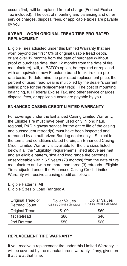occurs first, will be replaced free of charge (Federal Excise Tax included). The cost of mounting and balancing and other service charges, disposal fees, or applicable taxes are payable by you.

# **6 YEAR – WORN ORIGINAL TREAD TIRE PRO-RATED REPLACEMENT**

Eligible Tires adjusted under this Limited Warranty that are worn beyond the first 10% of original usable tread depth, or are over 12 months from the date of purchase (without proof of purchase date, then 12 months from the date of tire manufacture), will, at BATO's option, be repaired or replaced with an equivalent new Firestone brand truck tire on a pro rata basis. To determine the pro- rated replacement price, the percent of used tread wear is multiplied by the dealer's current selling price for the replacement tire(s). The cost of mounting, balancing, full Federal Excise Tax, and other service charges, disposal fees, or applicable taxes are payable by you.

# **ENHANCED CASING CREDIT LIMITED WARRANTY**

For coverage under the Enhanced Casing Limited Warranty, the Eligible Tire must have been used only in long haul, regional, P&D highway service for the entire life of the casing and subsequent retread(s) must have been inspected and retreaded by an authorized Bandag dealer only. Subject to the terms and conditions stated herein, an Enhanced Casing Credit Limited Warranty is available for the tire sizes listed below if all the "Eligibility" requirements listed above are met and an eligible pattern, size and load range tire becomes unserviceable within 6.5 years (78 months) from the date of tire manufacture and with no more than three (3) retreads. Eligible Tires adjusted under the Enhanced Casing Credit Limited Warranty will receive a casing credit as follows:

# Eligible Patterns: All Eligible Sizes & Load Ranges: All

| Original Tread or<br><b>Retread Count</b> | Dollar Values<br>(22.5 and 24.5 rim Diameters) | Dollar Values<br>(17.5 and 19.5 rim Diameters) |
|-------------------------------------------|------------------------------------------------|------------------------------------------------|
| <b>Original Tread</b>                     | \$100                                          | \$60                                           |
| 1st Retread                               | \$80                                           | \$40                                           |
| 2nd Retread                               | \$50                                           | \$20                                           |

# **REPLACEMENT TIRE WARRANTY**

If you receive a replacement tire under this Limited Warranty, it will be covered by the manufacturer's warranty, if any, given on that tire at that time.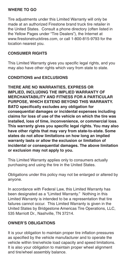# **WHERE TO GO**

Tire adjustments under this Limited Warranty will only be made at an authorized Firestone brand truck tire retailer in the United States. Consult a phone directory (often listed in the Yellow Pages under "Tire Dealers"), the Internet at www.firestonetrucktires.com, or call 1-800-815-9793 for the location nearest you.

# **CONSUMER RIGHTS**

This Limited Warranty gives you specific legal rights, and you may also have other rights which vary from state to state.

# **CONDITIONS and EXCLUSIONS**

**THERE ARE NO WARRANTIES, EXPRESS OR IMPLIED, INCLUDING THE IMPLIED WARRANTY OF MERCHANTABILITY AND FITNESS FOR A PARTICULAR PURPOSE, WHICH EXTEND BEYOND THIS WARRANTY. BATO specifically excludes any obligation for consequential damages or incidental expenses including claims for loss of use of the vehicle on which the tire was installed, loss of time, inconvenience, or commercial loss**. **This warranty gives you specific legal rights. You may also have other rights that may vary from state-to-state. Some states do not allow limitations on how long an implied warranty lasts or allow the exclusion or limitation of incidental or consequential damages. The above limitation or exclusion may not apply to you.** 

This Limited Warranty applies only to consumers actually purchasing and using the tire in the United States.

Obligations under this policy may not be enlarged or altered by anyone.

In accordance with Federal Law, this Limited Warranty has been designated as a "Limited Warranty." Nothing in this Limited Warranty is intended to be a representation that tire failures cannot occur. This Limited Warranty is given in the United States by Bridgestone Americas Tire Operations, LLC, 535 Marriott Dr., Nashville, TN 37214.

# **OWNER'S OBLIGATIONS**

It is your obligation to maintain proper tire inflation pressures as specified by the vehicle manufacturer and to operate the vehicle within tire/vehicle load capacity and speed limitations. It is also your obligation to maintain proper wheel alignment and tire/wheel assembly balance.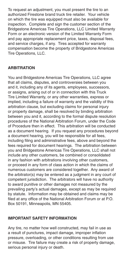To request an adjustment, you must present the tire to an authorized Firestone brand truck tire retailer. Your vehicle on which the tire was equipped must also be available for inspection. Complete and sign the customer section of the Bridgestone Americas Tire Operations, LLC Limited Warranty Form or an electronic version of the Limited Warranty Form and pay appropriate replacement price, taxes, disposal fees, and service charges, if any. Tires accepted for warranty compensation become the property of Bridgestone Americas Tire Operations, LLC.

# **ARBITRATION**

You and Bridgestone Americas Tire Operations, LLC agree that all claims, disputes, and controversies between you and it, including any of its agents, employees, successors, or assigns, arising out of or in connection with this Truck Tire Limited Warranty, or any other warranties, express or implied, including a failure of warranty and the validity of this arbitration clause, but excluding claims for personal injury or property damage, shall be resolved by binding arbitration between you and it, according to the formal dispute resolution procedures of the National Arbitration Forum, under the Code of Procedure then in effect. This arbitration will be conducted as a document hearing. If you request any procedures beyond a document hearing, you will be responsible for all fees, including filing and administrative fees, above and beyond the fees required for document hearings. The arbitration between you and Bridgestone Americas Tire Operations, LLC shall not include any other customers, be combined or consolidated in any fashion with arbitrations involving other customers, or proceed in any form of class action in which the claims of numerous customers are considered together. Any award of the arbitrator(s) may be entered as a judgment in any court of competent jurisdiction. The arbitrators will have no authority to award punitive or other damages not measured by the prevailing party's actual damages, except as may be required by statute. Information may be obtained and claims may be filed at any office of the National Arbitration Forum or at P.O. Box 50191, Minneapolis, MN 55405.

# **IMPORTANT SAFETY INFORMATION**

Any tire, no matter how well constructed, may fail in use as a result of punctures, impact damage, improper inflation pressure, overloading, or other conditions resulting from use or misuse. Tire failure may create a risk of property damage, serious personal injury or death.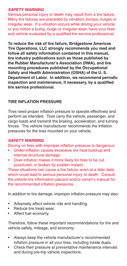# *SAFETY WARNING*

Serious personal injury or death may result from a tire failure. Many tire failures are preceded by vibration, bumps, bulges or irregular wear. If a vibration occurs while driving your vehicle or you notice a bump, bulge or irregular wear, have your tires and vehicle evaluated by a qualified tire service professional.

**To reduce the risk of tire failure, Bridgestone Americas Tire Operations, LLC strongly recommends you read and follow all safety information contained in this manual, tire industry publications such as those published by the Rubber Manufacturer's Association (RMA), and tire mounting procedures published by the Occupational Safety and Health Administration (OSHA) of the U. S. Department of Labor. In addition, we recommend periodic inspection and maintenance, if necessary, by a qualified tire service professional.**

# **TIRE INFLATION PRESSURE**

Tires need proper inflation pressure to operate effectively and perform as intended. Tires carry the vehicle, passenger, and cargo loads and transmit the braking, acceleration, and turning forces. The vehicle manufacturer recommends the inflation pressures for the tires mounted on your vehicle.

# *SAFETY WARNING*

Driving on tires with improper inflation pressure is dangerous.

- Under-inflation causes excessive tire heat build-up and internal structural damage.
- Over-inflation makes it more likely for tires to be cut, punctured, or broken by sudden impact.

These situations can cause a tire failure, even at a later date, which could lead to serious personal injury or death. Consult the vehicle tire information placard and/or owner's manual for the recommended inflation pressures.

In addition to tire damage, improper inflation pressure may also:

- Adversely affect vehicle ride and handling.
- Reduce tire tread wear.
- Affect fuel economy.

Therefore, follow these important recommendations for tire and vehicle safety, mileage, and economy:

- Always keep the vehicle manufacturer's recommended inflation pressure in all your tires, including inside duals.
- Check their pressure at preventative maintenance intervals and during pre-trip vehicle inspections.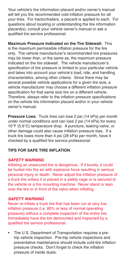Your vehicle's tire information placard and/or owner's manual will tell you the recommended cold inflation pressure for all your tires. For tractor/trailers, a placard is applied to each. For questions about locating or understanding the tire information placard(s), consult your vehicle owner's manual or ask a qualified tire service professional.

**Maximum Pressure Indicated on the Tire Sidewall:** This is the maximum permissible inflation pressure for the tire only. The vehicle manufacturer's recommended tire pressures may be lower than, or the same as, the maximum pressure indicated on the tire sidewall. The vehicle manufacturer's specification of tire pressure is limited to your particular vehicle and takes into account your vehicle's load, ride, and handling characteristics, among other criteria. Since there may be several possible vehicle applications for a given tire size, a vehicle manufacturer may choose a different inflation pressure specification for that same size tire on a different vehicle. Therefore, always refer to the inflation pressure specifications on the vehicle tire information placard and/or in your vehicle owner's manual.

**Pressure Loss:** Truck tires can lose 2 psi (14 kPa) per month under normal conditions and can lose 2 psi (14 kPa) for every 10°F (5.6°C) temperature drop. A puncture, leaking valve, or other damage could also cause inflation pressure loss. If a truck tire loses more than 4 psi (28 kPa) per month, have it checked by a qualified tire service professional.

# **TIPS FOR SAFE TIRE INFLATION**

# *SAFETY WARNING*

Inflating an unsecured tire is dangerous. If it bursts, it could be hurled into the air with explosive force resulting in serious personal injury or death. Never adjust the inflation pressure of a truck tire unless it is placed in a safety cage or is secured to the vehicle or a tire mounting machine. Never stand or lean over the tire or in front of the valve when inflating.

# *SAFETY WARNING*

Never re-inflate a truck tire that has been run at very low inflation pressure (i.e. 80% or less of normal operating pressure) without a complete inspection of the entire tire. Immediately have the tire demounted and inspected by a qualified tire service professional.

• The U.S. Department of Transportation requires a pretrip vehicle inspection. Pre-trip vehicle inspections and preventative maintenance should include cold-tire inflation pressure checks. Don't forget to check the inflation pressure of inside duals.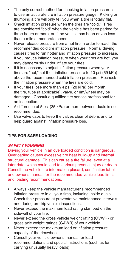- The only correct method for checking inflation pressure is to use an accurate tire inflation pressure gauge. Kicking or thumping a tire will only tell you when a tire is totally flat.
- Check inflation pressure when the tires are "cold." Tires are considered "cold" when the vehicle has been parked for three hours or more, or if the vehicle has been driven less than a mile at moderate speed.
- Never release pressure from a hot tire in order to reach the recommended cold tire inflation pressure. Normal driving causes tires to run hotter and inflation pressure to increase. If you reduce inflation pressure when your tires are hot, you may dangerously under inflate your tires.
- If it is necessary to adjust inflation pressure when your tires are "hot," set their inflation pressure to 10 psi (69 kPa) above the recommended cold inflation pressure. Recheck the inflation pressure when the tires are cold.
- If your tires lose more than 4 psi (28 kPa) per month, the tire, tube (if applicable), valve, or rim/wheel may be damaged. Consult a qualified tire service professional for an inspection.
- A difference of 5 psi (35 kPa) or more between duals is not recommended.
- Use valve caps to keep the valves clear of debris and to help guard against inflation pressure loss.

# **TIPS FOR SAFE LOADING**

# *SAFETY WARNING*

Driving your vehicle in an overloaded condition is dangerous. Overloading causes excessive tire heat build-up and internal structural damage. This can cause a tire failure, even at a later date, which could lead to serious personal injury or death. Consult the vehicle tire information placard, certification label, and owner's manual for the recommended vehicle load limits and loading recommendations.

- Always keep the vehicle manufacturer's recommended inflation pressure in all your tires, including inside duals. Check their pressure at preventative maintenance intervals and during pre-trip vehicle inspections.
- Never exceed the maximum load rating stamped on the sidewall of your tire.
- Never exceed the gross vehicle weight rating (GVWR) or gross axle weight ratings (GAWR) of your vehicle.
- Never exceed the maximum load or inflation pressure capacity of the rim/wheel.
- Consult your vehicle owner's manual for load recommendations and special instructions (such as for carrying unusually heavy loads).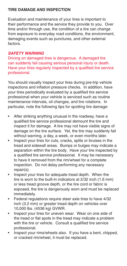# **TIRE DAMAGE AND INSPECTION**

Evaluation and maintenance of your tires is important to their performance and the service they provide to you. Over time and/or through use, the condition of a tire can change from exposure to everyday road conditions, the environment, damaging events such as punctures, and other external factors.

# *SAFETY WARNING*

Driving on damaged tires is dangerous. A damaged tire can suddenly fail causing serious personal injury or death. Have your tires regularly inspected by a qualified tire service professional.

You should visually inspect your tires during pre-trip vehicle inspections and inflation pressure checks. In addition, have your tires periodically evaluated by a qualified tire service professional when your vehicle is serviced such as routine maintenance intervals, oil changes, and tire rotations. In particular, note the following tips for spotting tire damage:

- After striking anything unusual in the roadway, have a qualified tire service professional demount the tire and inspect it for damage. A tire may not have visible signs of damage on the tire surface. Yet, the tire may suddenly fail without warning, a day, a week, or even months later.
- Inspect your tires for cuts, cracks, splits or bruises in the tread and sidewall areas. Bumps or bulges may indicate a separation within the tire body. Have your tire inspected by a qualified tire service professional. It may be necessary to have it removed from the rim/wheel for a complete inspection. Do not delay performing any necessary repair(s).
- Inspect your tires for adequate tread depth. When the tire is worn to the built-in indicators at 2/32 inch (1.6 mm) or less tread groove depth, or the tire cord or fabric is exposed, the tire is dangerously worn and must be replaced immediately.
- Federal regulations require steer axle tires to have 4/32 inch (3.2 mm) or greater tread depth on vehicles over 10,000 lbs. (4536 kg) GVWR.
- Inspect your tires for uneven wear. Wear on one side of the tread or flat spots in the tread may indicate a problem with the tire or vehicle. Consult a qualified tire service professional.
- Inspect your rims/wheels also. If you have a bent, chipped, or cracked rim/wheel, it must be replaced.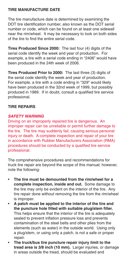# **TIRE MANUFACTURE DATE**

The tire manufacture date is determined by examining the DOT tire identification number, also known as the DOT serial number or code, which can be found on at least one sidewall near the rim/wheel. It may be necessary to look on both sides of the tire to find the entire serial code.

**Tires Produced Since 2000:** The last four (4) digits of the serial code identify the week and year of production. For example, a tire with a serial code ending in "2406" would have been produced in the 24th week of 2006.

**Tires Produced Prior to 2000:** The last three (3) digits of the serial code identify the week and year of production. For example, a tire with a code ending in "329" would likely have been produced in the 32nd week of 1999, but possibly produced in 1989. If in doubt, consult a qualified tire service professional.

# **TIRE REPAIRS**

# *SAFETY WARNING*

Driving on an improperly repaired tire is dangerous. An improper repair can be unreliable or permit further damage to the tire. The tire may suddenly fail, causing serious personal injury or death. A complete inspection and repair of your tire in accordance with Rubber Manufacturers Association (RMA) procedures should be conducted by a qualified tire service professional.

The comprehensive procedures and recommendations for truck tire repair are beyond the scope of this manual; however, note the following:

- **The tire must be demounted from the rim/wheel for a complete inspection, inside and out.** Some damage to the tire may only be evident on the interior of the tire. Any tire repair done without removing the tire from the rim/wheel is improper.
- **A patch must be applied to the interior of the tire and the puncture hole filled with suitable plug/stem filler.** This helps ensure that the interior of the tire is adequately sealed to prevent inflation pressure loss and prevents contamination of the steel belts and other plies from the elements (such as water) in the outside world. Using only a plug/stem, or using only a patch, is not a safe or proper repair.
- **The truck/bus tire puncture repair injury limit to the tread area is 3/8 inch (10 mm).** Larger injuries, or damage in areas outside the tread, should be evaluated and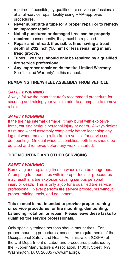repaired, if possible, by qualified tire service professionals at a full-service repair facility using RMA-approved procedures.

- **Never substitute a tube for a proper repair or to remedy an improper repair.**
- **Not all punctured or damaged tires can be properly repaired**; consequently, they must be replaced.
- **Repair and retread, if possible, tires having a tread depth of 2/32 inch (1.6 mm) or less remaining in any tread groove.**
- **Tubes, like tires, should only be repaired by a qualified tire service professional.**
- **Any Improper repair voids the tire Limited Warranty.** See "Limited Warranty" in this manual.

# **REMOVING TIRE/WHEEL ASSEMBLY FROM VEHICLE**

# *SAFETY WARNING*

Always follow the manufacturer's recommend procedure for securing and raising your vehicle prior to attempting to remove a tire.

# *SAFETY WARNING*

If the tire has internal damage, it may burst with explosive force, causing serious personal injury or death. Always deflate a tire and wheel assembly completely before loosening any lug nut when removing a tire from a vehicle for service or demounting. On dual wheel assemblies, both tires should be deflated and removed before any work is started.

# **TIRE MOUNTING AND OTHER SERVICING**

# *SAFETY WARNING*

Removing and replacing tires on wheels can be dangerous. Attempting to mount tires with improper tools or procedures may result in a tire explosion causing serious personal injury or death. This is only a job for a qualified tire service professional. Never perform tire service procedures without proper training, tools, and equipment.

**This manual is not intended to provide proper training or service procedures for tire mounting, demounting, balancing, rotation, or repair. Please leave these tasks to qualified tire service professionals.**

Only specially trained persons should mount tires. For proper mounting procedures, consult the requirements of the Occupational Safety and Health Administration (OSHA) of the U S Department of Labor and procedures published by the Rubber Manufacturers Association, 1400 K Street, NW Washington, D. C. 20005 (www.rma.org).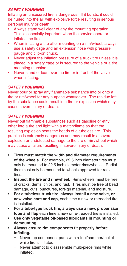# *SAFETY WARNING*

Inflating an unsecured tire is dangerous. If it bursts, it could be hurled into the air with explosive force resulting in serious personal injury or death.

- Always stand well clear of any tire mounting operation. This is especially important when the service operator inflates the tire.
- When inflating a tire after mounting on a rim/wheel, always use a safety cage and an extension hose with pressure gauge and clip-on chuck.
- Never adjust the inflation pressure of a truck tire unless it is placed in a safety cage or is secured to the vehicle or a tire mounting machine.
- Never stand or lean over the tire or in front of the valve when inflating.

# *SAFETY WARNING*

Never pour or spray any flammable substance into or onto a tire or rim/wheel for any purpose whatsoever. The residue left by the substance could result in a fire or explosion which may cause severe injury or death.

# *SAFETY WARNING*

Never put flammable substances such as gasoline or ethyl ether into a tire and light with a match/flame so that the resulting explosion seats the beads of a tubeless tire. This practice is extremely dangerous and may result in a severe explosion or undetected damage to the tire or rim/wheel which may cause a failure resulting in severe injury or death.

- **Tires must match the width and diameter requirements of the wheels.** For example, 22.5 inch diameter tires must only be mounted to 22.5 inch diameter rims/wheels. Radial tires must only be mounted to wheels approved for radial tires.
- **Inspect the tire and rim/wheel.** Rims/wheels must be free of cracks, dents, chips, and rust. Tires must be free of bead damage, cuts, punctures, foreign material, and moisture.
- **For a tubeless truck tire, always install a new valve, or new valve core and cap,** each time a new or retreaded tire is installed.
- **For a tube-type truck tire, always use a new, proper size tube and flap** each time a new or re-treaded tire is installed.
- **Use only vegetable oil-based lubricants in mounting or demounting.**
- **Always ensure rim components fit properly before inflating.**
	- Never tap component parts with a tool/hammer/mallet while tire is inflated.
	- Never attempt to disassemble multi-piece rims while inflated.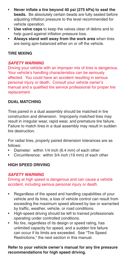- **Never inflate a tire beyond 40 psi (275 kPa) to seat the beads.** Be absolutely certain beads are fully seated before adjusting inflation pressure to the level recommended for vehicle operation.
- **Use valve caps** to keep the valves clear of debris and to help guard against inflation pressure loss.
- **Always stand well away from the work area** when tires are being spin-balanced either on or off the vehicle.

# **TIRE MIXING**

# *SAFETY WARNING*

Driving your vehicle with an improper mix of tires is dangerous. Your vehicle's handling characteristics can be seriously affected. You could have an accident resulting in serious personal injury or death. Consult your vehicle owner's manual and a qualified tire service professional for proper tire replacement.

# **DUAL MATCHING**

Tires paired in a dual assembly should be matched in tire construction and dimension. Improperly matched tires may result in irregular wear, rapid wear, and premature tire failure. Failure to match tires in a dual assembly may result in sudden tire destruction.

For radial tires, properly paired dimension tolerances are as follows:

- Diameter: within 1/4 inch (6.4 mm) of each other
- Circumference: within 3/4 inch (19 mm) of each other

# **HIGH SPEED DRIVING**

# *SAFETY WARNING*

Driving at high speed is dangerous and can cause a vehicle accident, including serious personal injury or death.

- Regardless of the speed and handling capabilities of your vehicle and its tires, a loss of vehicle control can result from exceeding the maximum speed allowed by law or warranted by traffic, weather, vehicle, or road conditions.
- High-speed driving should be left to trained professionals operating under controlled conditions.
- No tire, regardless of its design or speed rating, has unlimited capacity for speed, and a sudden tire failure can occur if its limits are exceeded. See "Tire Speed Restrictions," the next section in this manual.

# **Refer to your vehicle owner's manual for any tire pressure recommendations for high speed driving.**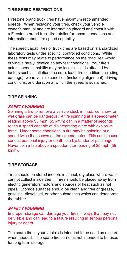# **TIRE SPEED RESTRICTIONS**

Firestone brand truck tires have maximum recommended speeds. When replacing your tires, check your vehicle owner's manual and tire information placard and consult with a Firestone brand truck tire retailer for recommendations and information about tire speed capability.

The speed capabilities of truck tires are based on standardized laboratory tests under specific, controlled conditions. While these tests may relate to performance on the road, real-world driving is rarely identical to any test conditions. Your tire's actual speed capability may be less since it is affected by factors such as inflation pressure, load, tire condition (including damage), wear, vehicle condition (including alignment), driving conditions, and duration at which the speed is sustained.

# **TIRE SPINNING**

# *SAFETY WARNING*

Spinning a tire to remove a vehicle stuck in mud, ice, snow, or wet grass can be dangerous. A tire spinning at a speedometer reading above 35 mph (55 km/h) can in a matter of seconds reach a speed capable of disintegrating a tire with explosive force. Under some conditions, a tire may be spinning at a speed twice that shown on the speedometer. This could cause serious personal injury or death to a bystander or passenger. Never spin a tire above a speedometer reading of 35 mph (55 km/h).

# **TIRE STORAGE**

Tires should be stored indoors in a cool, dry place where water cannot collect inside them. Tires should be placed away from electric generators/motors and sources of heat such as hot pipes. Storage surfaces should be clean and free of grease, gasoline, diesel fuel, or other substances which can deteriorate the rubber.

#### *SAFETY WARNING*

Improper storage can damage your tires in ways that may not be visible and can lead to a failure resulting in serious personal injury or death.

The spare tire in your vehicle is intended to be used as a spare when needed. The spare tire carrier is not intended to be used for long term storage.